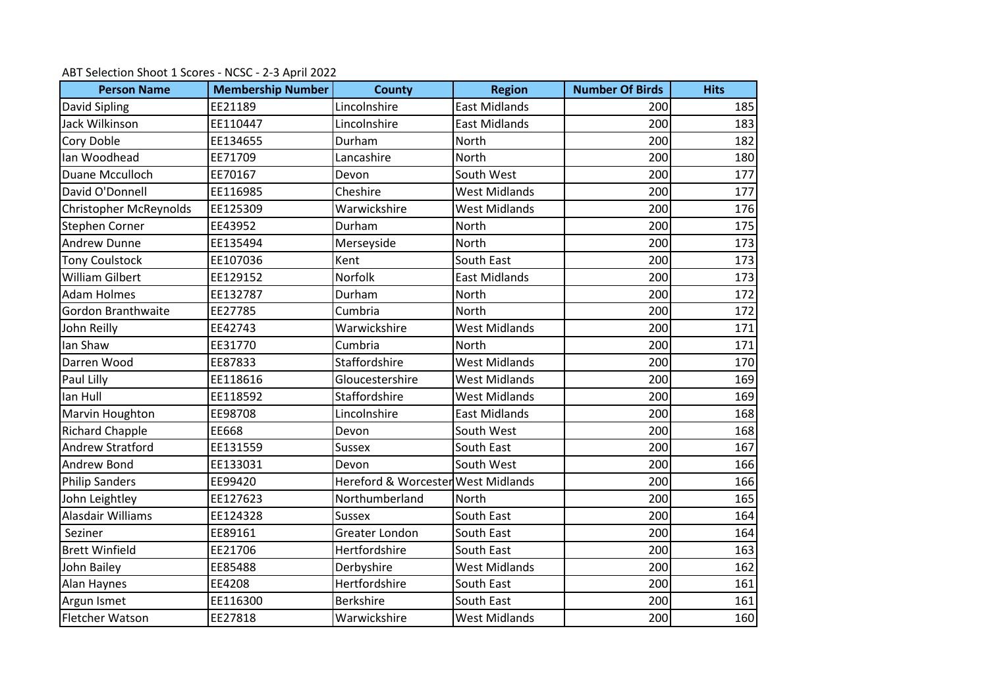| <b>Person Name</b>        | <b>Membership Number</b> | <b>County</b>                      | <b>Region</b>        | <b>Number Of Birds</b> | <b>Hits</b> |
|---------------------------|--------------------------|------------------------------------|----------------------|------------------------|-------------|
| David Sipling             | EE21189                  | Lincolnshire                       | <b>East Midlands</b> | 200                    | 185         |
| Jack Wilkinson            | EE110447                 | Lincolnshire                       | <b>East Midlands</b> | 200                    | 183         |
| Cory Doble                | EE134655                 | Durham                             | North                | 200                    | 182         |
| Ian Woodhead              | EE71709                  | Lancashire                         | North                | 200                    | 180         |
| Duane Mcculloch           | EE70167                  | Devon                              | South West           | 200                    | 177         |
| David O'Donnell           | EE116985                 | Cheshire                           | <b>West Midlands</b> | 200                    | 177         |
| Christopher McReynolds    | EE125309                 | Warwickshire                       | <b>West Midlands</b> | 200                    | 176         |
| Stephen Corner            | EE43952                  | Durham                             | North                | 200                    | 175         |
| <b>Andrew Dunne</b>       | EE135494                 | Merseyside                         | <b>North</b>         | 200                    | 173         |
| <b>Tony Coulstock</b>     | EE107036                 | Kent                               | South East           | 200                    | 173         |
| <b>William Gilbert</b>    | EE129152                 | Norfolk                            | <b>East Midlands</b> | 200                    | 173         |
| <b>Adam Holmes</b>        | EE132787                 | Durham                             | North                | 200                    | 172         |
| <b>Gordon Branthwaite</b> | EE27785                  | Cumbria                            | North                | 200                    | 172         |
| John Reilly               | EE42743                  | Warwickshire                       | <b>West Midlands</b> | 200                    | 171         |
| Ian Shaw                  | EE31770                  | Cumbria                            | <b>North</b>         | 200                    | 171         |
| Darren Wood               | EE87833                  | Staffordshire                      | <b>West Midlands</b> | 200                    | 170         |
| Paul Lilly                | EE118616                 | Gloucestershire                    | <b>West Midlands</b> | 200                    | 169         |
| lan Hull                  | EE118592                 | Staffordshire                      | <b>West Midlands</b> | 200                    | 169         |
| Marvin Houghton           | EE98708                  | Lincolnshire                       | <b>East Midlands</b> | 200                    | 168         |
| <b>Richard Chapple</b>    | EE668                    | Devon                              | South West           | 200                    | 168         |
| <b>Andrew Stratford</b>   | EE131559                 | <b>Sussex</b>                      | South East           | 200                    | 167         |
| Andrew Bond               | EE133031                 | Devon                              | South West           | 200                    | 166         |
| <b>Philip Sanders</b>     | EE99420                  | Hereford & Worcester West Midlands |                      | 200                    | 166         |
| John Leightley            | EE127623                 | Northumberland                     | North                | 200                    | 165         |
| Alasdair Williams         | EE124328                 | <b>Sussex</b>                      | South East           | 200                    | 164         |
| Seziner                   | EE89161                  | Greater London                     | South East           | 200                    | 164         |
| <b>Brett Winfield</b>     | EE21706                  | Hertfordshire                      | South East           | 200                    | 163         |
| John Bailey               | EE85488                  | Derbyshire                         | <b>West Midlands</b> | 200                    | 162         |
| Alan Haynes               | EE4208                   | Hertfordshire                      | South East           | 200                    | 161         |
| Argun Ismet               | EE116300                 | <b>Berkshire</b>                   | South East           | 200                    | 161         |
| Fletcher Watson           | EE27818                  | Warwickshire                       | <b>West Midlands</b> | 200                    | 160         |

ABT Selection Shoot 1 Scores - NCSC - 2-3 April 2022